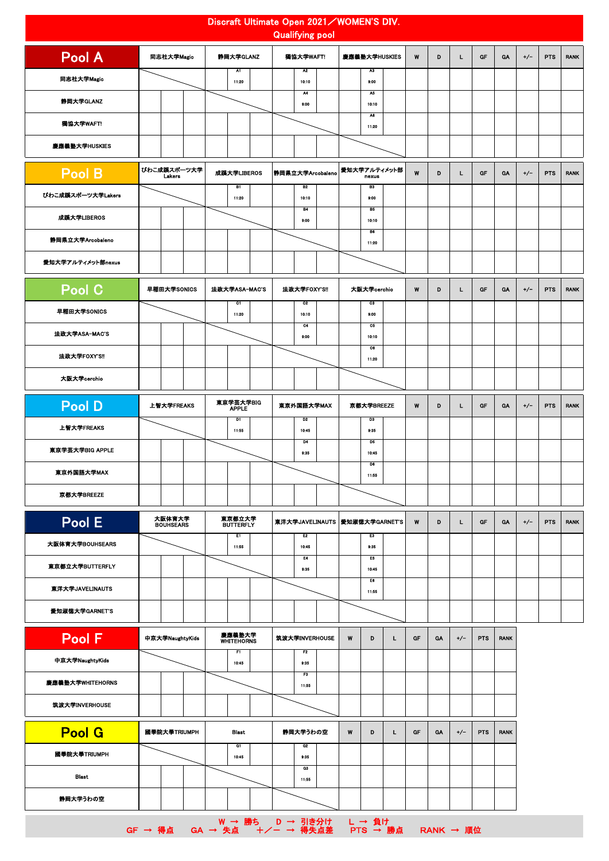| Discraft Ultimate Open 2021 / WOMEN'S DIV.<br><b>Qualifying pool</b> |                                                  |                             |                                  |                         |           |           |       |            |             |       |            |             |
|----------------------------------------------------------------------|--------------------------------------------------|-----------------------------|----------------------------------|-------------------------|-----------|-----------|-------|------------|-------------|-------|------------|-------------|
| Pool A                                                               | 同志社大学Magic                                       | 静岡大学GLANZ<br>獨協大学WAFT!      |                                  | 慶應義塾大学HUSKIES           | W         | D         | L.    | GF         | GA          | $+/-$ | <b>PTS</b> | <b>RANK</b> |
| 同志社大学Magic                                                           |                                                  | $\overline{M}$<br>11:20     | $\overline{M}$<br>10:10          | <b>A3</b><br>9:00       |           |           |       |            |             |       |            |             |
| 静岡大学GLANZ                                                            |                                                  |                             | $\overline{M}$<br>9:00           | A5<br>10:10             |           |           |       |            |             |       |            |             |
| 獨協大学WAFT!                                                            |                                                  |                             |                                  | A6<br>11:20             |           |           |       |            |             |       |            |             |
| 慶應義塾大学HUSKIES                                                        |                                                  |                             |                                  |                         |           |           |       |            |             |       |            |             |
| Pool B                                                               | びわこ成蹊スポーツ大学<br>Lakers                            | 成蹊大学LIBEROS                 | 静岡県立大学Arcobaleno                 | 愛知大学アルティメット部<br>nexus   | W         | D         | L.    | GF         | <b>GA</b>   | $+/-$ | <b>PTS</b> | <b>RANK</b> |
| びわこ成蹊スポーツ大学Lakers                                                    |                                                  | B1<br>11:20                 | B2<br>10:10                      | 83<br>9:00              |           |           |       |            |             |       |            |             |
| 成蹊大学LIBEROS                                                          |                                                  |                             | <b>B4</b><br>9:00                | B5<br>10:10             |           |           |       |            |             |       |            |             |
| 静岡県立大学Arcobaleno                                                     |                                                  |                             |                                  | B6<br>11:20             |           |           |       |            |             |       |            |             |
| 愛知大学アルティメット部nexus                                                    |                                                  |                             |                                  |                         |           |           |       |            |             |       |            |             |
| Pool C                                                               | 早稲田大学SONICS                                      | 法政大学ASA-MAC'S               | 法政大学FOXY'S!!                     | 大阪大学cerchio             | W         | D         | L     | GF         | GA          | $+/-$ | <b>PTS</b> | <b>RANK</b> |
| 早稲田大学SONICS                                                          |                                                  | $\overline{c}$<br>11:20     | $_{\rm c2}$<br>10:10             | $\overline{c}$<br>9:00  |           |           |       |            |             |       |            |             |
| 法政大学ASA-MAC'S                                                        |                                                  |                             | C4<br>9:00                       | C5<br>10:10             |           |           |       |            |             |       |            |             |
| 法政大学FOXY'S!!                                                         |                                                  |                             |                                  | $\overline{c}$<br>11:20 |           |           |       |            |             |       |            |             |
| 大阪大学cerchio                                                          |                                                  |                             |                                  |                         |           |           |       |            |             |       |            |             |
| Pool D                                                               | 上智大学FREAKS                                       | 東京学芸大学BIG<br><b>APPLE</b>   | 東京外国語大学MAX                       | 京都大学BREEZE              | W         | D         | L     | GF         | GA          | $+/-$ | <b>PTS</b> | <b>RANK</b> |
| 上智大学FREAKS                                                           |                                                  | D1<br>11:55                 | D <sub>2</sub><br>10:45          | D3<br>9:35              |           |           |       |            |             |       |            |             |
| 東京学芸大学BIG APPLE                                                      |                                                  |                             | D4<br>9:35                       | D6<br>10:45             |           |           |       |            |             |       |            |             |
| 東京外国語大学MAX                                                           |                                                  |                             |                                  | D6<br>11:55             |           |           |       |            |             |       |            |             |
| 京都大学BREEZE                                                           |                                                  |                             |                                  |                         |           |           |       |            |             |       |            |             |
| Pool E                                                               | 大阪体育大学<br><b>BOUHSEARS</b>                       | 東京都立大学<br>BUTTERFLY         | 東洋大学JAVELINAUTS                  | 愛知淑徳大学GARNET'S          | W         | D         | L.    | GF         | <b>GA</b>   | $+/-$ | <b>PTS</b> | <b>RANK</b> |
| 大阪体育大学BOUHSEARS                                                      |                                                  | E1<br>11:55                 | E <sub>2</sub><br>10:45          | E3<br>9:35              |           |           |       |            |             |       |            |             |
| 東京都立大学BUTTERFLY                                                      |                                                  |                             | E4<br>9:35                       | E5<br>10:45             |           |           |       |            |             |       |            |             |
| 東洋大学JAVELINAUTS                                                      |                                                  |                             |                                  | E6<br>11:55             |           |           |       |            |             |       |            |             |
| 愛知淑徳大学GARNET'S                                                       |                                                  |                             |                                  |                         |           |           |       |            |             |       |            |             |
| Pool F                                                               | 中京大学NaughtyKids                                  | 慶應義塾大学<br><b>WHITEHORNS</b> | 筑波大学INVERHOUSE                   | W<br>D<br>L             | GF        | <b>GA</b> | $+/-$ | <b>PTS</b> | <b>RANK</b> |       |            |             |
| 中亰大学NaughtyKids                                                      |                                                  | F1<br>10:45                 | F2<br>9:35                       |                         |           |           |       |            |             |       |            |             |
| 慶應義塾大学WHITEHORNS                                                     |                                                  |                             | $\overline{\mathbf{r}}$<br>11:55 |                         |           |           |       |            |             |       |            |             |
| 筑波大学INVERHOUSE                                                       |                                                  |                             |                                  |                         |           |           |       |            |             |       |            |             |
| <b>Pool G</b>                                                        | 國學院大學TRIUMPH                                     | <b>Blast</b>                | 静岡大学うわの空                         | W<br>D<br>L             | <b>GF</b> | <b>GA</b> | $+/-$ | <b>PTS</b> | <b>RANK</b> |       |            |             |
| 國學院大學TRIUMPH                                                         |                                                  | <b>G1</b><br>10.45          | Q2<br>9:35                       |                         |           |           |       |            |             |       |            |             |
| Blast                                                                |                                                  |                             | $\overline{a}$<br>11:55          |                         |           |           |       |            |             |       |            |             |
| 静岡大学うわの空                                                             |                                                  |                             |                                  |                         |           |           |       |            |             |       |            |             |
|                                                                      | W → 勝ち D → 引き分け<br>GF → 得点  GA → 失点   十/ー → 得失点差 |                             |                                  | L → 負け<br>PTS → 勝点      |           | RANK → 順位 |       |            |             |       |            |             |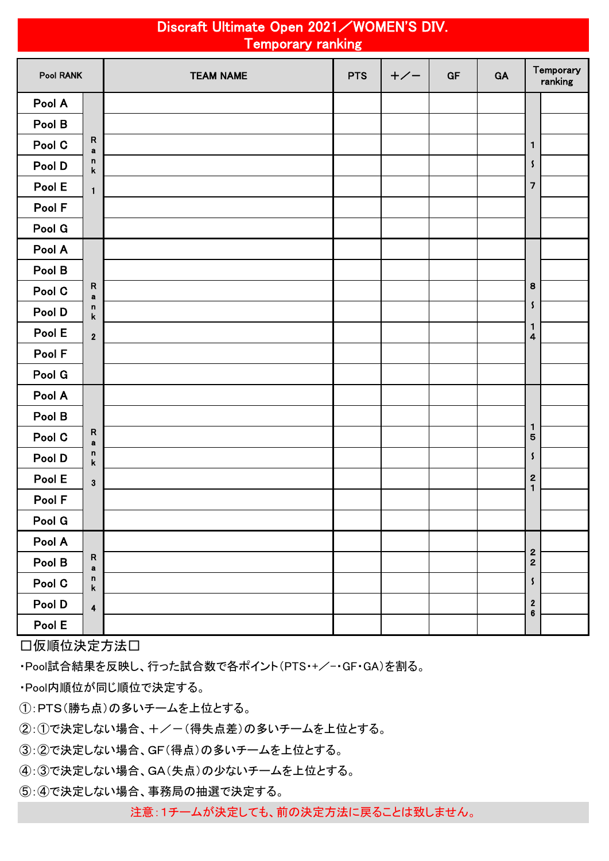| Discraft Ultimate Open 2021 / WOMEN'S DIV.<br><b>Temporary ranking</b> |                                   |                  |            |       |    |    |                                       |  |  |
|------------------------------------------------------------------------|-----------------------------------|------------------|------------|-------|----|----|---------------------------------------|--|--|
| Pool RANK                                                              |                                   | <b>TEAM NAME</b> | <b>PTS</b> | $+/-$ | GF | GA | Temporary<br>ranking                  |  |  |
| Pool A                                                                 |                                   |                  |            |       |    |    |                                       |  |  |
| Pool B                                                                 |                                   |                  |            |       |    |    |                                       |  |  |
| Pool C                                                                 | $\mathsf{R}$<br>$\mathbf a$       |                  |            |       |    |    | 1                                     |  |  |
| Pool D                                                                 | n<br>$\mathbf k$                  |                  |            |       |    |    | $\mathsf{\mathcal{S}}$                |  |  |
| Pool E                                                                 | $\mathbf{1}$                      |                  |            |       |    |    | $\overline{\phantom{a}}$              |  |  |
| Pool F                                                                 |                                   |                  |            |       |    |    |                                       |  |  |
| Pool G                                                                 |                                   |                  |            |       |    |    |                                       |  |  |
| Pool A                                                                 |                                   |                  |            |       |    |    |                                       |  |  |
| Pool B                                                                 |                                   |                  |            |       |    |    |                                       |  |  |
| Pool C                                                                 | $\mathsf{R}$<br>$\mathbf a$       |                  |            |       |    |    | 8                                     |  |  |
| Pool D                                                                 | n<br>$\pmb{\mathsf{k}}$           |                  |            |       |    |    | S                                     |  |  |
| Pool E                                                                 | $\mathbf{2}$                      |                  |            |       |    |    | 1<br>4                                |  |  |
| Pool F                                                                 |                                   |                  |            |       |    |    |                                       |  |  |
| Pool G                                                                 |                                   |                  |            |       |    |    |                                       |  |  |
| Pool A                                                                 |                                   |                  |            |       |    |    |                                       |  |  |
| Pool B                                                                 |                                   |                  |            |       |    |    |                                       |  |  |
| Pool C                                                                 | $\mathsf{R}$<br>$\mathbf a$       |                  |            |       |    |    | 1<br>5                                |  |  |
| Pool D                                                                 | n<br>k                            |                  |            |       |    |    | S                                     |  |  |
| Pool E                                                                 | $\mathbf{3}$                      |                  |            |       |    |    | $\begin{array}{c} 2 \\ 1 \end{array}$ |  |  |
| Pool F                                                                 |                                   |                  |            |       |    |    |                                       |  |  |
| Pool G                                                                 |                                   |                  |            |       |    |    |                                       |  |  |
| Pool A                                                                 |                                   |                  |            |       |    |    |                                       |  |  |
| Pool B                                                                 | ${\sf R}$<br>$\mathbf a$          |                  |            |       |    |    | $\frac{2}{2}$                         |  |  |
| Pool C                                                                 | $\mathsf n$<br>$\pmb{\mathsf{k}}$ |                  |            |       |    |    | $\boldsymbol{\mathsf{s}}$             |  |  |
| Pool D                                                                 | $\overline{\mathbf{4}}$           |                  |            |       |    |    | $\boldsymbol{2}$<br>$\bf 6$           |  |  |
| Pool E                                                                 |                                   |                  |            |       |    |    |                                       |  |  |

□仮順位決定方法□

・Pool試合結果を反映し、行った試合数で各ポイント(PTS・+/-・GF・GA)を割る。

・Pool内順位が同じ順位で決定する。

①:PTS(勝ち点)の多いチームを上位とする。

②:①で決定しない場合、+/-(得失点差)の多いチームを上位とする。

③:②で決定しない場合、GF(得点)の多いチームを上位とする。

④:③で決定しない場合、GA(失点)の少ないチームを上位とする。

⑤:④で決定しない場合、事務局の抽選で決定する。

注意:1チームが決定しても、前の決定方法に戻ることは致しません。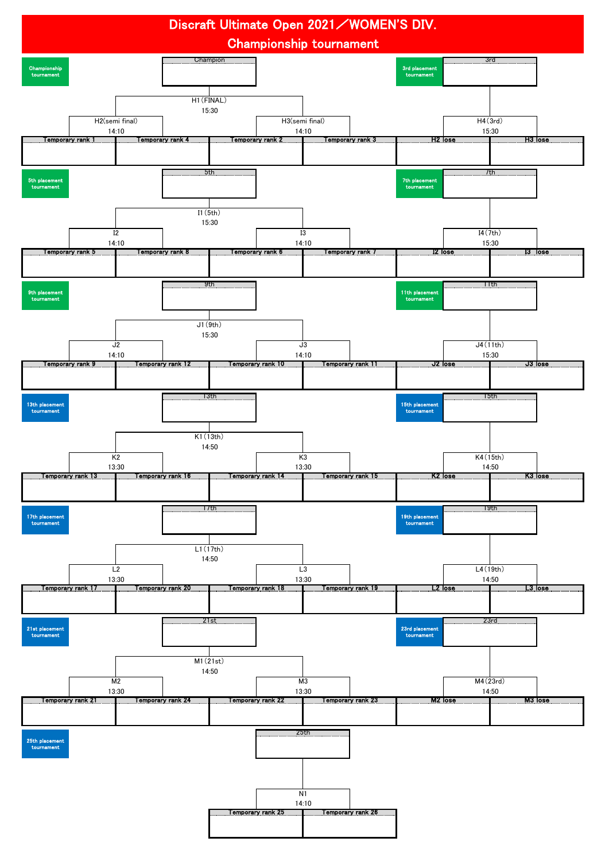